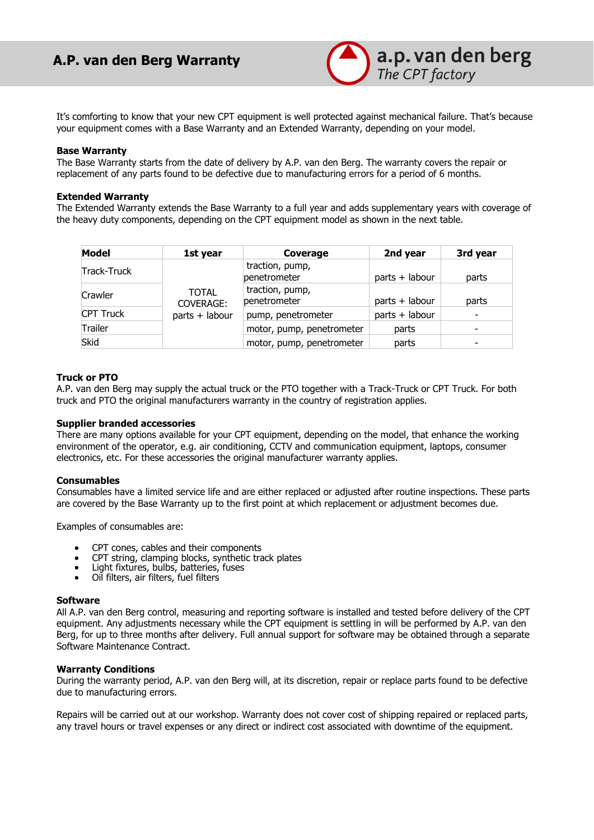# **A.P. van den Berg Warranty**

a.p. van den berg<br>The CPT factory

It's comforting to know that your new CPT equipment is well protected against mechanical failure. That's because your equipment comes with a Base Warranty and an Extended Warranty, depending on your model.

#### **Base Warranty**

The Base Warranty starts from the date of delivery by A.P. van den Berg. The warranty covers the repair or replacement of any parts found to be defective due to manufacturing errors for a period of 6 months.

#### **Extended Warranty**

The Extended Warranty extends the Base Warranty to a full year and adds supplementary years with coverage of the heavy duty components, depending on the CPT equipment model as shown in the next table.

| Model            | 1st year                                    | Coverage                        | 2nd year       | 3rd year                 |
|------------------|---------------------------------------------|---------------------------------|----------------|--------------------------|
| Track-Truck      | <b>TOTAL</b><br>COVERAGE:<br>parts + labour | traction, pump,<br>penetrometer | parts + labour | parts                    |
| Crawler          |                                             | traction, pump,<br>penetrometer | parts + labour | parts                    |
| <b>CPT Truck</b> |                                             | pump, penetrometer              | parts + labour |                          |
| Trailer          |                                             | motor, pump, penetrometer       | parts          | $\overline{\phantom{0}}$ |
| Skid             |                                             | motor, pump, penetrometer       | parts          |                          |

## **Truck or PTO**

A.P. van den Berg may supply the actual truck or the PTO together with a Track-Truck or CPT Truck. For both truck and PTO the original manufacturers warranty in the country of registration applies.

# **Supplier branded accessories**

There are many options available for your CPT equipment, depending on the model, that enhance the working environment of the operator, e.g. air conditioning, CCTV and communication equipment, laptops, consumer electronics, etc. For these accessories the original manufacturer warranty applies.

## **Consumables**

Consumables have a limited service life and are either replaced or adjusted after routine inspections. These parts are covered by the Base Warranty up to the first point at which replacement or adjustment becomes due.

Examples of consumables are:

- CPT cones, cables and their components
- CPT string, clamping blocks, synthetic track plates
- Light fixtures, bulbs, batteries, fuses<br>• Oil filters, air filters, fuel filters
- Oil filters, air filters, fuel filters

#### **Software**

All A.P. van den Berg control, measuring and reporting software is installed and tested before delivery of the CPT equipment. Any adjustments necessary while the CPT equipment is settling in will be performed by A.P. van den Berg, for up to three months after delivery. Full annual support for software may be obtained through a separate Software Maintenance Contract.

## **Warranty Conditions**

During the warranty period, A.P. van den Berg will, at its discretion, repair or replace parts found to be defective due to manufacturing errors.

Repairs will be carried out at our workshop. Warranty does not cover cost of shipping repaired or replaced parts, any travel hours or travel expenses or any direct or indirect cost associated with downtime of the equipment.